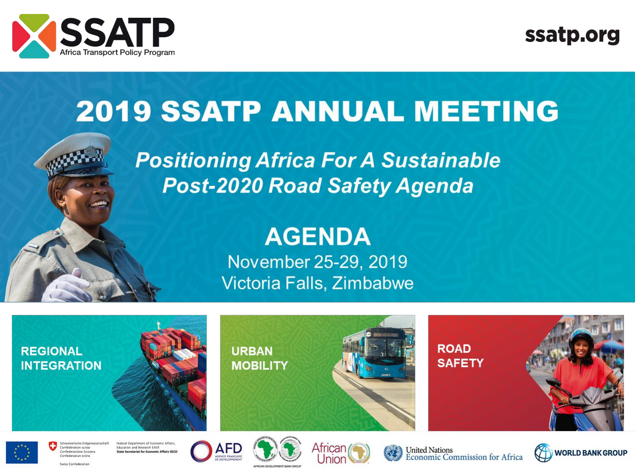

ssatp.org

# **2019 SSATP ANNUAL MEETING**

**Positioning Africa For A Sustainable Post-2020 Road Safety Agenda** 

# **AGENDA**

November 25-29, 2019 Victoria Falls, Zimbabwe



Swiss Confederation

Confederaziun svizra

State Secretariat for Fronomic Affairs SECO





United Nations<br>Economic Commission for Africa

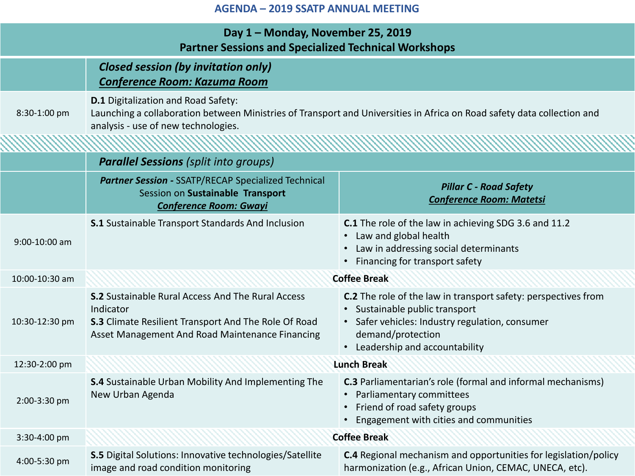| Day 1 - Monday, November 25, 2019<br><b>Partner Sessions and Specialized Technical Workshops</b> |                                                                                                                                                                                                              |                                                                                                                                                                                                           |  |  |
|--------------------------------------------------------------------------------------------------|--------------------------------------------------------------------------------------------------------------------------------------------------------------------------------------------------------------|-----------------------------------------------------------------------------------------------------------------------------------------------------------------------------------------------------------|--|--|
|                                                                                                  | <b>Closed session (by invitation only)</b><br><b>Conference Room: Kazuma Room</b>                                                                                                                            |                                                                                                                                                                                                           |  |  |
| 8:30-1:00 pm                                                                                     | <b>D.1</b> Digitalization and Road Safety:<br>Launching a collaboration between Ministries of Transport and Universities in Africa on Road safety data collection and<br>analysis - use of new technologies. |                                                                                                                                                                                                           |  |  |
|                                                                                                  | <b>Parallel Sessions</b> (split into groups)                                                                                                                                                                 |                                                                                                                                                                                                           |  |  |
|                                                                                                  | <b>Partner Session - SSATP/RECAP Specialized Technical</b><br>Session on Sustainable Transport<br><b>Conference Room: Gwayi</b>                                                                              | <b>Pillar C - Road Safety</b><br><b>Conference Room: Matetsi</b>                                                                                                                                          |  |  |
| 9:00-10:00 am                                                                                    | <b>S.1</b> Sustainable Transport Standards And Inclusion                                                                                                                                                     | <b>C.1</b> The role of the law in achieving SDG 3.6 and 11.2<br>Law and global health<br>Law in addressing social determinants<br>Financing for transport safety                                          |  |  |
| 10:00-10:30 am                                                                                   | <b>Coffee Break</b>                                                                                                                                                                                          |                                                                                                                                                                                                           |  |  |
| 10:30-12:30 pm                                                                                   | <b>S.2</b> Sustainable Rural Access And The Rural Access<br>Indicator<br><b>S.3</b> Climate Resilient Transport And The Role Of Road<br>Asset Management And Road Maintenance Financing                      | C.2 The role of the law in transport safety: perspectives from<br>Sustainable public transport<br>• Safer vehicles: Industry regulation, consumer<br>demand/protection<br>• Leadership and accountability |  |  |
| 12:30-2:00 pm                                                                                    |                                                                                                                                                                                                              | <b>Lunch Break</b>                                                                                                                                                                                        |  |  |
| 2:00-3:30 pm                                                                                     | S.4 Sustainable Urban Mobility And Implementing The<br>New Urban Agenda                                                                                                                                      | <b>C.3</b> Parliamentarian's role (formal and informal mechanisms)<br>Parliamentary committees<br>$\bullet$<br>Friend of road safety groups<br>Engagement with cities and communities                     |  |  |
| 3:30-4:00 pm                                                                                     |                                                                                                                                                                                                              | <b>Coffee Break</b>                                                                                                                                                                                       |  |  |
| 4:00-5:30 pm                                                                                     | <b>S.5</b> Digital Solutions: Innovative technologies/Satellite<br>image and road condition monitoring                                                                                                       | C.4 Regional mechanism and opportunities for legislation/policy<br>harmonization (e.g., African Union, CEMAC, UNECA, etc).                                                                                |  |  |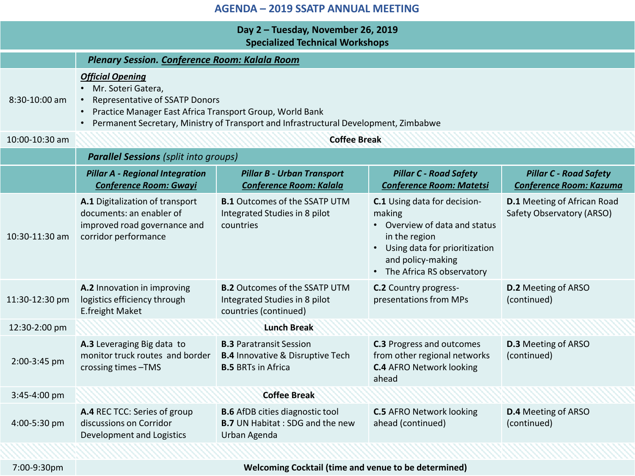| Day 2 - Tuesday, November 26, 2019<br><b>Specialized Technical Workshops</b> |                                                                                                                                                                                                                                                                                                |                                                                                                            |                                                                                                                                                                                 |                                                                 |  |  |
|------------------------------------------------------------------------------|------------------------------------------------------------------------------------------------------------------------------------------------------------------------------------------------------------------------------------------------------------------------------------------------|------------------------------------------------------------------------------------------------------------|---------------------------------------------------------------------------------------------------------------------------------------------------------------------------------|-----------------------------------------------------------------|--|--|
| Plenary Session. Conference Room: Kalala Room                                |                                                                                                                                                                                                                                                                                                |                                                                                                            |                                                                                                                                                                                 |                                                                 |  |  |
| 8:30-10:00 am                                                                | <b>Official Opening</b><br>Mr. Soteri Gatera,<br>$\bullet$<br><b>Representative of SSATP Donors</b><br>$\bullet$<br>Practice Manager East Africa Transport Group, World Bank<br>$\bullet$<br>Permanent Secretary, Ministry of Transport and Infrastructural Development, Zimbabwe<br>$\bullet$ |                                                                                                            |                                                                                                                                                                                 |                                                                 |  |  |
| 10:00-10:30 am                                                               | <b>Coffee Break</b>                                                                                                                                                                                                                                                                            |                                                                                                            |                                                                                                                                                                                 |                                                                 |  |  |
|                                                                              | <b>Parallel Sessions</b> (split into groups)                                                                                                                                                                                                                                                   |                                                                                                            |                                                                                                                                                                                 |                                                                 |  |  |
|                                                                              | <b>Pillar A - Regional Integration</b><br><b>Conference Room: Gwayi</b>                                                                                                                                                                                                                        | <b>Pillar B - Urban Transport</b><br><b>Conference Room: Kalala</b>                                        | <b>Pillar C - Road Safety</b><br><b>Conference Room: Matetsi</b>                                                                                                                | <b>Pillar C - Road Safety</b><br>Conference Room: Kazuma        |  |  |
| 10:30-11:30 am                                                               | A.1 Digitalization of transport<br>documents: an enabler of<br>improved road governance and<br>corridor performance                                                                                                                                                                            | <b>B.1</b> Outcomes of the SSATP UTM<br>Integrated Studies in 8 pilot<br>countries                         | C.1 Using data for decision-<br>making<br>• Overview of data and status<br>in the region<br>• Using data for prioritization<br>and policy-making<br>• The Africa RS observatory | <b>D.1</b> Meeting of African Road<br>Safety Observatory (ARSO) |  |  |
| 11:30-12:30 pm                                                               | A.2 Innovation in improving<br>logistics efficiency through<br>E.freight Maket                                                                                                                                                                                                                 | <b>B.2</b> Outcomes of the SSATP UTM<br>Integrated Studies in 8 pilot<br>countries (continued)             | <b>C.2</b> Country progress-<br>presentations from MPs                                                                                                                          | <b>D.2</b> Meeting of ARSO<br>(continued)                       |  |  |
| 12:30-2:00 pm                                                                |                                                                                                                                                                                                                                                                                                | <b>Lunch Break</b>                                                                                         |                                                                                                                                                                                 |                                                                 |  |  |
| 2:00-3:45 pm                                                                 | A.3 Leveraging Big data to<br>monitor truck routes and border<br>crossing times -TMS                                                                                                                                                                                                           | <b>B.3 Paratransit Session</b><br><b>B.4 Innovative &amp; Disruptive Tech</b><br><b>B.5 BRTs in Africa</b> | <b>C.3</b> Progress and outcomes<br>from other regional networks<br><b>C.4 AFRO Network looking</b><br>ahead                                                                    | <b>D.3</b> Meeting of ARSO<br>(continued)                       |  |  |
| 3:45-4:00 pm                                                                 |                                                                                                                                                                                                                                                                                                | <b>Coffee Break</b>                                                                                        |                                                                                                                                                                                 |                                                                 |  |  |
| 4:00-5:30 pm                                                                 | A.4 REC TCC: Series of group<br>discussions on Corridor<br>Development and Logistics                                                                                                                                                                                                           | <b>B.6</b> AfDB cities diagnostic tool<br><b>B.7</b> UN Habitat : SDG and the new<br>Urban Agenda          | <b>C.5 AFRO Network looking</b><br>ahead (continued)                                                                                                                            | <b>D.4</b> Meeting of ARSO<br>(continued)                       |  |  |

7:00-9:30pm **Welcoming Cocktail (time and venue to be determined)**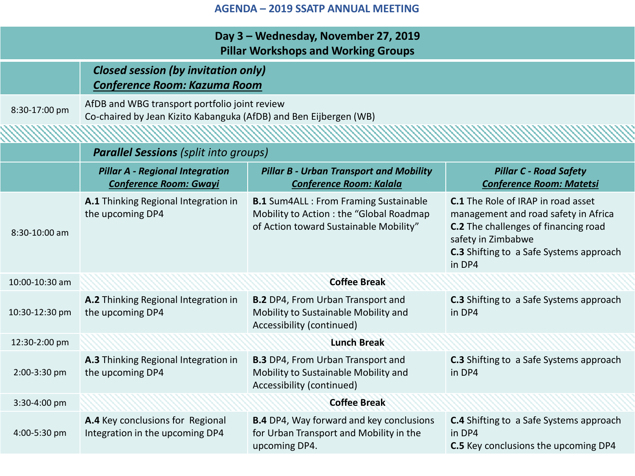| Day 3 - Wednesday, November 27, 2019<br><b>Pillar Workshops and Working Groups</b> |                                                                                                                    |                                                                                                                                     |                                                                                                                                                                                                                    |  |  |  |
|------------------------------------------------------------------------------------|--------------------------------------------------------------------------------------------------------------------|-------------------------------------------------------------------------------------------------------------------------------------|--------------------------------------------------------------------------------------------------------------------------------------------------------------------------------------------------------------------|--|--|--|
|                                                                                    | <b>Closed session (by invitation only)</b><br><b>Conference Room: Kazuma Room</b>                                  |                                                                                                                                     |                                                                                                                                                                                                                    |  |  |  |
| 8:30-17:00 pm                                                                      | AfDB and WBG transport portfolio joint review<br>Co-chaired by Jean Kizito Kabanguka (AfDB) and Ben Eijbergen (WB) |                                                                                                                                     |                                                                                                                                                                                                                    |  |  |  |
|                                                                                    |                                                                                                                    |                                                                                                                                     |                                                                                                                                                                                                                    |  |  |  |
|                                                                                    |                                                                                                                    | <b>Parallel Sessions (split into groups)</b>                                                                                        |                                                                                                                                                                                                                    |  |  |  |
|                                                                                    | <b>Pillar A - Regional Integration</b><br><b>Conference Room: Gwayi</b>                                            | <b>Pillar B - Urban Transport and Mobility</b><br><b>Conference Room: Kalala</b>                                                    | <b>Pillar C - Road Safety</b><br><b>Conference Room: Matetsi</b>                                                                                                                                                   |  |  |  |
| 8:30-10:00 am                                                                      | A.1 Thinking Regional Integration in<br>the upcoming DP4                                                           | <b>B.1</b> Sum4ALL : From Framing Sustainable<br>Mobility to Action : the "Global Roadmap<br>of Action toward Sustainable Mobility" | <b>C.1</b> The Role of IRAP in road asset<br>management and road safety in Africa<br><b>C.2</b> The challenges of financing road<br>safety in Zimbabwe<br><b>C.3</b> Shifting to a Safe Systems approach<br>in DP4 |  |  |  |
| 10:00-10:30 am                                                                     | <b>Coffee Break</b>                                                                                                |                                                                                                                                     |                                                                                                                                                                                                                    |  |  |  |
| 10:30-12:30 pm                                                                     | A.2 Thinking Regional Integration in<br>the upcoming DP4                                                           | <b>B.2</b> DP4, From Urban Transport and<br>Mobility to Sustainable Mobility and<br>Accessibility (continued)                       | <b>C.3</b> Shifting to a Safe Systems approach<br>in DP4                                                                                                                                                           |  |  |  |
| 12:30-2:00 pm                                                                      | <b>Lunch Break</b>                                                                                                 |                                                                                                                                     |                                                                                                                                                                                                                    |  |  |  |
| 2:00-3:30 pm                                                                       | A.3 Thinking Regional Integration in<br>the upcoming DP4                                                           | <b>B.3</b> DP4, From Urban Transport and<br>Mobility to Sustainable Mobility and<br>Accessibility (continued)                       | <b>C.3</b> Shifting to a Safe Systems approach<br>in DP4                                                                                                                                                           |  |  |  |
| 3:30-4:00 pm                                                                       |                                                                                                                    | <b>Coffee Break</b>                                                                                                                 |                                                                                                                                                                                                                    |  |  |  |
| 4:00-5:30 pm                                                                       | A.4 Key conclusions for Regional<br>Integration in the upcoming DP4                                                | <b>B.4</b> DP4, Way forward and key conclusions<br>for Urban Transport and Mobility in the<br>upcoming DP4.                         | <b>C.4</b> Shifting to a Safe Systems approach<br>in DP4<br>C.5 Key conclusions the upcoming DP4                                                                                                                   |  |  |  |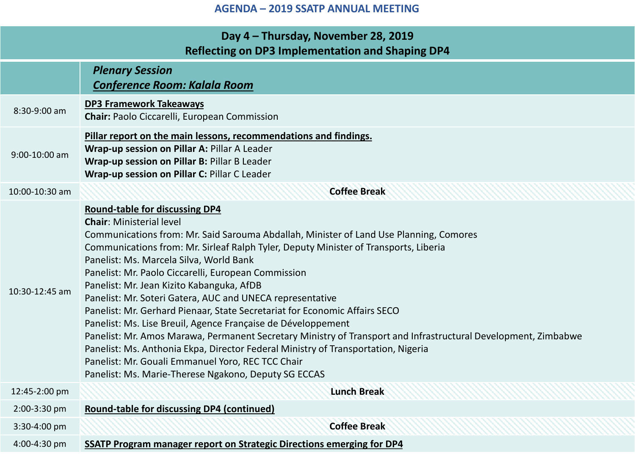## **Day 4 – Thursday, November 28, 2019 Reflecting on DP3 Implementation and Shaping DP4**  *Plenary Session Conference Room: Kalala Room* 8:30-9:00 am **DP3 Framework Takeaways Chair:** Paolo Ciccarelli, European Commission 9:00-10:00 am **Pillar report on the main lessons, recommendations and findings. Wrap-up session on Pillar A:** Pillar A Leader **Wrap-up session on Pillar B:** Pillar B Leader **Wrap-up session on Pillar C:** Pillar C Leader 10:00-10:30 am **Coffee Break** 10:30-12:45 am **Round-table for discussing DP4 Chair**: Ministerial level Communications from: Mr. Said Sarouma Abdallah, Minister of Land Use Planning, Comores Communications from: Mr. Sirleaf Ralph Tyler, Deputy Minister of Transports, Liberia Panelist: Ms. Marcela Silva, World Bank Panelist: Mr. Paolo Ciccarelli, European Commission Panelist: Mr. Jean Kizito Kabanguka, AfDB Panelist: Mr. Soteri Gatera, AUC and UNECA representative Panelist: Mr. Gerhard Pienaar, State Secretariat for Economic Affairs SECO Panelist: Ms. Lise Breuil, Agence Française de Développement Panelist: Mr. Amos Marawa, Permanent Secretary Ministry of Transport and Infrastructural Development, Zimbabwe Panelist: Ms. Anthonia Ekpa, Director Federal Ministry of Transportation, Nigeria Panelist: Mr. Gouali Emmanuel Yoro, REC TCC Chair Panelist: Ms. Marie-Therese Ngakono, Deputy SG ECCAS 12:45-2:00 pm **Lunch Break** 2:00-3:30 pm **Round-table for discussing DP4 (continued)** 3:30-4:00 pm **Coffee Break** 4:00-4:30 pm **SSATP Program manager report on Strategic Directions emerging for DP4**